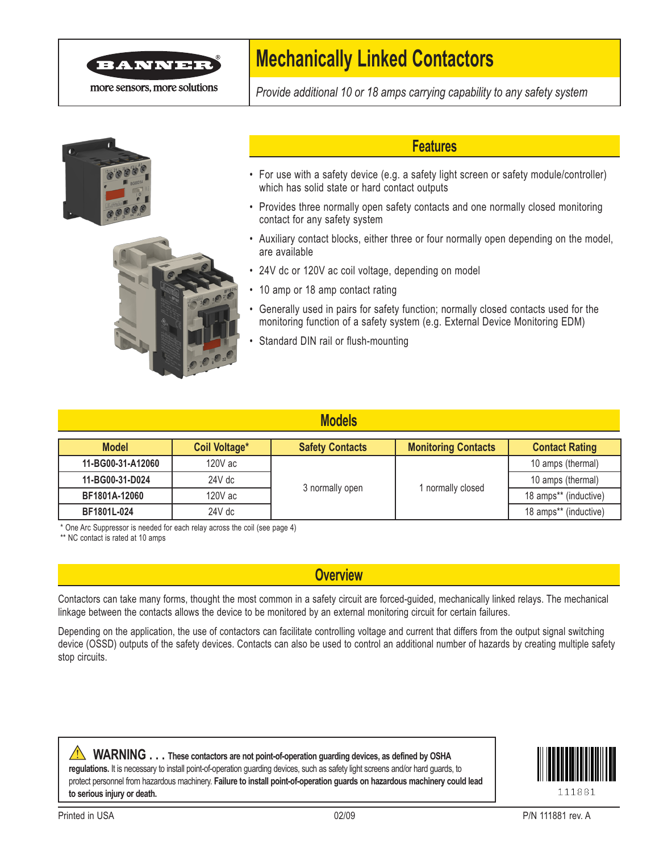

more sensors, more solutions

# **Mechanically Linked Contactors**

*Provide additional 10 or 18 amps carrying capability to any safety system*





### **Features**

- For use with a safety device (e.g. a safety light screen or safety module/controller) which has solid state or hard contact outputs
- Provides three normally open safety contacts and one normally closed monitoring contact for any safety system
- Auxiliary contact blocks, either three or four normally open depending on the model, are available
- 24V dc or 120V ac coil voltage, depending on model
- 10 amp or 18 amp contact rating
- • Generally used in pairs for safety function; normally closed contacts used for the monitoring function of a safety system (e.g. External Device Monitoring EDM)
- Standard DIN rail or flush-mounting

| <b>Models</b>     |               |                        |                            |                       |
|-------------------|---------------|------------------------|----------------------------|-----------------------|
| <b>Model</b>      | Coil Voltage* | <b>Safety Contacts</b> | <b>Monitoring Contacts</b> | <b>Contact Rating</b> |
| 11-BG00-31-A12060 | 120V ac       | 3 normally open        | normally closed            | 10 amps (thermal)     |
| 11-BG00-31-D024   | $24V$ dc      |                        |                            | 10 amps (thermal)     |
| BF1801A-12060     | 120V ac       |                        |                            | 18 amps** (inductive) |
| BF1801L-024       | $24V$ dc      |                        |                            | 18 amps** (inductive) |

\* One Arc Suppressor is needed for each relay across the coil (see page 4)

\*\* NC contact is rated at 10 amps

### **Overview**

Contactors can take many forms, thought the most common in a safety circuit are forced-guided, mechanically linked relays. The mechanical linkage between the contacts allows the device to be monitored by an external monitoring circuit for certain failures.

Depending on the application, the use of contactors can facilitate controlling voltage and current that differs from the output signal switching device (OSSD) outputs of the safety devices. Contacts can also be used to control an additional number of hazards by creating multiple safety stop circuits.

**WARNING ...** These contactors are not point-of-operation guarding devices, as defined by OSHA **regulations.** It is necessary to install point-of-operation guarding devices, such as safety light screens and/or hard guards, to protect personnel from hazardous machinery. **Failure to install point-of-operation guards on hazardous machinery could lead to serious injury or death.**

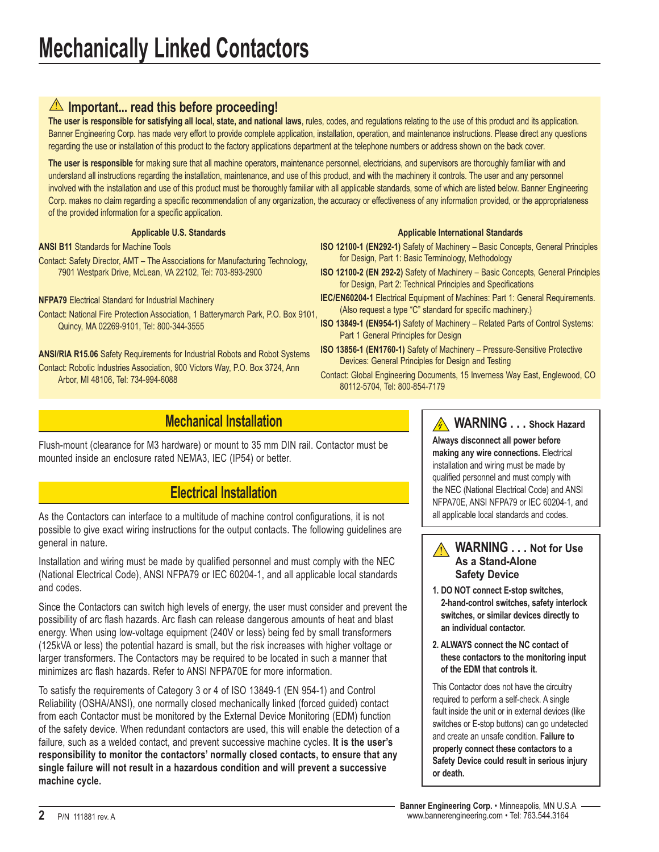### **Important... read this before proceeding!**

**The user is responsible for satisfying all local, state, and national laws**, rules, codes, and regulations relating to the use of this product and its application. Banner Engineering Corp. has made very effort to provide complete application, installation, operation, and maintenance instructions. Please direct any questions regarding the use or installation of this product to the factory applications department at the telephone numbers or address shown on the back cover.

**The user is responsible** for making sure that all machine operators, maintenance personnel, electricians, and supervisors are thoroughly familiar with and understand all instructions regarding the installation, maintenance, and use of this product, and with the machinery it controls. The user and any personnel involved with the installation and use of this product must be thoroughly familiar with all applicable standards, some of which are listed below. Banner Engineering Corp. makes no claim regarding a specific recommendation of any organization, the accuracy or effectiveness of any information provided, or the appropriateness of the provided information for a specific application.

**Applicable U.S. Standards**

**ANSI B11** Standards for Machine Tools Contact: Safety Director, AMT – The Associations for Manufacturing Technology, 7901 Westpark Drive, McLean, VA 22102, Tel: 703-893-2900

### **NFPA79** Electrical Standard for Industrial Machinery

Contact: National Fire Protection Association, 1 Batterymarch Park, P.O. Box 9101, Quincy, MA 02269-9101, Tel: 800-344-3555

**ANSI/RIA R15.06** Safety Requirements for Industrial Robots and Robot Systems Contact: Robotic Industries Association, 900 Victors Way, P.O. Box 3724, Ann Arbor, MI 48106, Tel: 734-994-6088

#### **Applicable International Standards**

- **ISO 12100-1 (EN292-1)** Safety of Machinery Basic Concepts, General Principles for Design, Part 1: Basic Terminology, Methodology
- **ISO 12100-2 (EN 292-2)** Safety of Machinery Basic Concepts, General Principles for Design, Part 2: Technical Principles and Specifications
- **IEC/EN60204-1** Electrical Equipment of Machines: Part 1: General Requirements. (Also request a type "C" standard for specific machinery.)
- **ISO 13849-1 (EN954-1)** Safety of Machinery Related Parts of Control Systems: Part 1 General Principles for Design
- **ISO 13856-1 (EN1760-1)** Safety of Machinery Pressure-Sensitive Protective Devices: General Principles for Design and Testing
- Contact: Global Engineering Documents, 15 Inverness Way East, Englewood, CO 80112-5704, Tel: 800-854-7179

### **Mechanical Installation**

Flush-mount (clearance for M3 hardware) or mount to 35 mm DIN rail. Contactor must be mounted inside an enclosure rated NEMA3, IEC (IP54) or better.

## **Electrical Installation**

As the Contactors can interface to a multitude of machine control configurations, it is not possible to give exact wiring instructions for the output contacts. The following guidelines are general in nature.

Installation and wiring must be made by qualified personnel and must comply with the NEC (National Electrical Code), ANSI NFPA79 or IEC 60204-1, and all applicable local standards and codes.

Since the Contactors can switch high levels of energy, the user must consider and prevent the possibility of arc flash hazards. Arc flash can release dangerous amounts of heat and blast energy. When using low-voltage equipment (240V or less) being fed by small transformers (125kVA or less) the potential hazard is small, but the risk increases with higher voltage or larger transformers. The Contactors may be required to be located in such a manner that minimizes arc flash hazards. Refer to ANSI NFPA70E for more information.

To satisfy the requirements of Category 3 or 4 of ISO 13849-1 (EN 954-1) and Control Reliability (OSHA/ANSI), one normally closed mechanically linked (forced guided) contact from each Contactor must be monitored by the External Device Monitoring (EDM) function of the safety device. When redundant contactors are used, this will enable the detection of a failure, such as a welded contact, and prevent successive machine cycles. **It is the user's responsibility to monitor the contactors' normally closed contacts, to ensure that any single failure will not result in a hazardous condition and will prevent a successive machine cycle.**

### **A** WARNING . . . Shock Hazard

**Always disconnect all power before making any wire connections.** Electrical installation and wiring must be made by qualified personnel and must comply with the NEC (National Electrical Code) and ANSI NFPA70E, ANSI NFPA79 or IEC 60204-1, and all applicable local standards and codes.

#### **WARNING . . . Not for Use As a Stand-Alone Safety Device**

- **1. DO NOT connect E-stop switches, 2-hand-control switches, safety interlock switches, or similar devices directly to an individual contactor.**
- **2. ALWAYS connect the NC contact of these contactors to the monitoring input of the EDM that controls it.**

This Contactor does not have the circuitry required to perform a self-check. A single fault inside the unit or in external devices (like switches or E-stop buttons) can go undetected and create an unsafe condition. **Failure to properly connect these contactors to a Safety Device could result in serious injury or death.**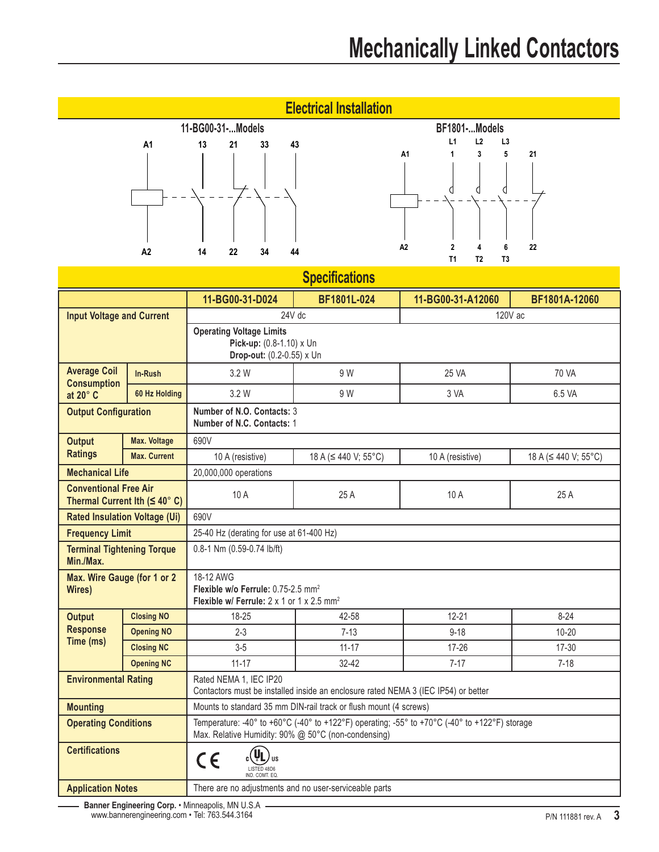| <b>Electrical Installation</b>                                                           |                     |                                                                                                                                                      |                                                                   |                                                                         |                            |
|------------------------------------------------------------------------------------------|---------------------|------------------------------------------------------------------------------------------------------------------------------------------------------|-------------------------------------------------------------------|-------------------------------------------------------------------------|----------------------------|
|                                                                                          |                     | 11-BG00-31-Models<br>BF1801-Models                                                                                                                   |                                                                   |                                                                         |                            |
|                                                                                          | A1                  | 13<br>43<br>21<br>33                                                                                                                                 |                                                                   | L1<br>L <sub>2</sub><br>L <sub>3</sub><br>5<br>A <sub>1</sub><br>3<br>1 | 21                         |
|                                                                                          | A2                  | 44<br>14<br>22<br>34                                                                                                                                 |                                                                   | A <sub>2</sub><br>6<br>T1<br>T <sub>2</sub><br>T <sub>3</sub>           | 22                         |
| <b>Specifications</b>                                                                    |                     |                                                                                                                                                      |                                                                   |                                                                         |                            |
|                                                                                          |                     | 11-BG00-31-D024                                                                                                                                      | BF1801L-024                                                       | 11-BG00-31-A12060                                                       | BF1801A-12060              |
| <b>Input Voltage and Current</b>                                                         |                     | 24V dc                                                                                                                                               |                                                                   |                                                                         | 120V ac                    |
| <b>Operating Voltage Limits</b><br>Pick-up: (0.8-1.10) x Un<br>Drop-out: (0.2-0.55) x Un |                     |                                                                                                                                                      |                                                                   |                                                                         |                            |
| <b>Average Coil</b>                                                                      | In-Rush             | 3.2 W                                                                                                                                                | 9 W                                                               | 25 VA                                                                   | 70 VA                      |
| <b>Consumption</b><br>at $20^\circ$ C                                                    | 60 Hz Holding       | 3.2 W                                                                                                                                                | 9 W                                                               | 3 VA                                                                    | 6.5 VA                     |
| <b>Output Configuration</b>                                                              |                     | Number of N.O. Contacts: 3<br>Number of N.C. Contacts: 1                                                                                             |                                                                   |                                                                         |                            |
| <b>Output</b>                                                                            | <b>Max. Voltage</b> | 690V                                                                                                                                                 |                                                                   |                                                                         |                            |
| <b>Ratings</b>                                                                           | <b>Max. Current</b> | 10 A (resistive)                                                                                                                                     | 18 A (≤ 440 V; 55°C)                                              | 10 A (resistive)                                                        | 18 A ( $\leq$ 440 V; 55°C) |
| <b>Mechanical Life</b>                                                                   |                     | 20,000,000 operations                                                                                                                                |                                                                   |                                                                         |                            |
| <b>Conventional Free Air</b><br>Thermal Current Ith $( \leq 40^\circ \text{ C} )$        |                     | 10 A                                                                                                                                                 | 25 A                                                              | 10 A                                                                    | 25 A                       |
| <b>Rated Insulation Voltage (Ui)</b>                                                     |                     | 690V                                                                                                                                                 |                                                                   |                                                                         |                            |
| <b>Frequency Limit</b>                                                                   |                     | 25-40 Hz (derating for use at 61-400 Hz)                                                                                                             |                                                                   |                                                                         |                            |
| <b>Terminal Tightening Torque</b><br>Min./Max.                                           |                     | 0.8-1 Nm (0.59-0.74 lb/ft)                                                                                                                           |                                                                   |                                                                         |                            |
| Max. Wire Gauge (for 1 or 2<br>Wires)                                                    |                     | 18-12 AWG<br>Flexible w/o Ferrule: 0.75-2.5 mm <sup>2</sup><br>Flexible w/ Ferrule: 2 x 1 or 1 x 2.5 mm <sup>2</sup>                                 |                                                                   |                                                                         |                            |
| <b>Output</b>                                                                            | <b>Closing NO</b>   | 18-25                                                                                                                                                | 42-58                                                             | $12 - 21$                                                               | $8 - 24$                   |
| <b>Response</b><br>Time (ms)                                                             | <b>Opening NO</b>   | $2 - 3$                                                                                                                                              | $7 - 13$                                                          | $9 - 18$                                                                | $10 - 20$                  |
|                                                                                          | <b>Closing NC</b>   | $3-5$                                                                                                                                                | $11 - 17$                                                         | 17-26                                                                   | 17-30                      |
|                                                                                          | <b>Opening NC</b>   | $11 - 17$                                                                                                                                            | 32-42                                                             | $7 - 17$                                                                | $7 - 18$                   |
| <b>Environmental Rating</b>                                                              |                     | Rated NEMA 1, IEC IP20<br>Contactors must be installed inside an enclosure rated NEMA 3 (IEC IP54) or better                                         |                                                                   |                                                                         |                            |
| <b>Mounting</b>                                                                          |                     |                                                                                                                                                      | Mounts to standard 35 mm DIN-rail track or flush mount (4 screws) |                                                                         |                            |
| <b>Operating Conditions</b>                                                              |                     | Temperature: -40° to +60°C (-40° to +122°F) operating; -55° to +70°C (-40° to +122°F) storage<br>Max. Relative Humidity: 90% @ 50°C (non-condensing) |                                                                   |                                                                         |                            |

**Application Notes** There are no adjustments and no user-serviceable parts

 $C \in$ 

LISTED 48D6 IND. COMT. EQ. **US**

**Banner Engineering Corp.** • Minneapolis, MN U.S.A www.bannerengineering.com • Tel: 763.544.3164

**Certifications**